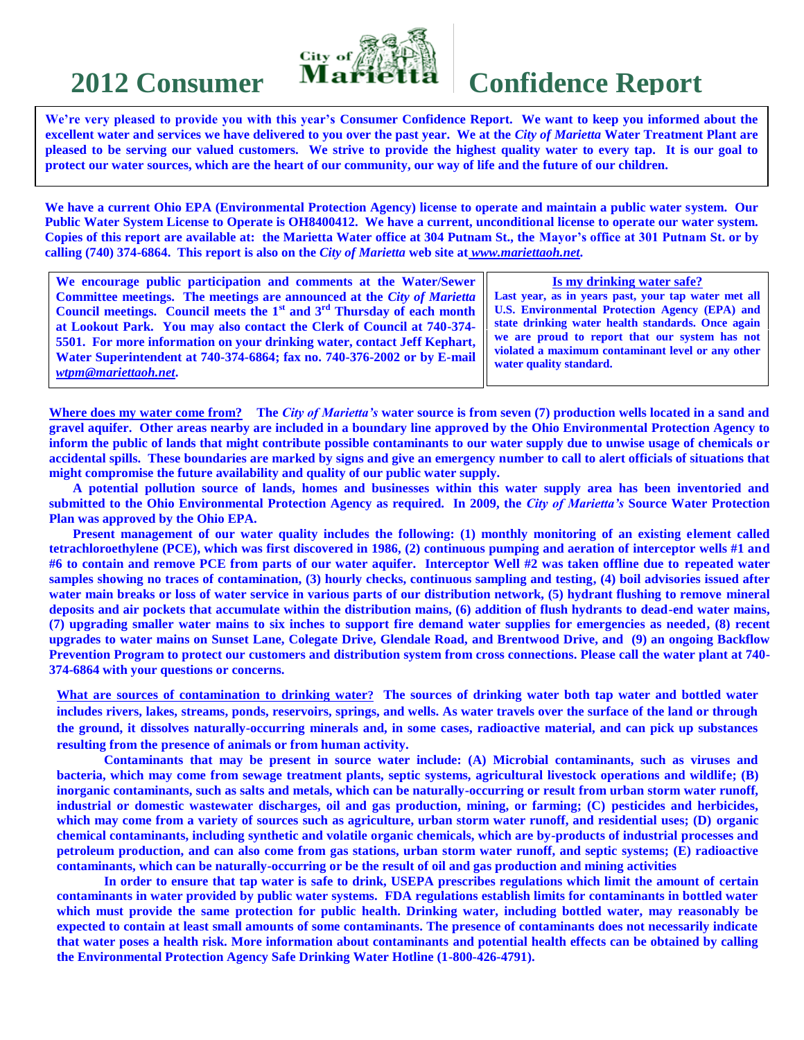

# **2012 Consumer Marietta Confidence Report**

**We're very pleased to provide you with this year's Consumer Confidence Report. We want to keep you informed about the excellent water and services we have delivered to you over the past year. We at the** *City of Marietta* **Water Treatment Plant are pleased to be serving our valued customers. We strive to provide the highest quality water to every tap. It is our goal to protect our water sources, which are the heart of our community, our way of life and the future of our children.**

**We have a current Ohio EPA (Environmental Protection Agency) license to operate and maintain a public water system. Our Public Water System License to Operate is OH8400412. We have a current, unconditional license to operate our water system. Copies of this report are available at: the Marietta Water office at 304 Putnam St., the Mayor's office at 301 Putnam St. or by calling (740) 374-6864. This report is also on the** *City of Marietta* **web site at** *www.mariettaoh.net***.**

| We encourage public participation and comments at the Water/Sewer                 | Is my drinking water safe?                            |  |  |  |
|-----------------------------------------------------------------------------------|-------------------------------------------------------|--|--|--|
| <b>Committee meetings. The meetings are announced at the City of Marietta</b>     | Last year, as in years past, your tap water met all   |  |  |  |
| <b>Council meetings.</b> Council meets the $1st$ and $3rd$ Thursday of each month | <b>U.S. Environmental Protection Agency (EPA) and</b> |  |  |  |
| at Lookout Park. You may also contact the Clerk of Council at 740-374-            | state drinking water health standards. Once again     |  |  |  |
| 5501. For more information on your drinking water, contact Jeff Kephart,          | we are proud to report that our system has not        |  |  |  |
| Water Superintendent at 740-374-6864; fax no. 740-376-2002 or by E-mail           | violated a maximum contaminant level or any other     |  |  |  |
| wtpm@mariettaoh.net.                                                              | water quality standard.                               |  |  |  |
|                                                                                   |                                                       |  |  |  |

**Where does my water come from? The** *City of Marietta's* **water source is from seven (7) production wells located in a sand and gravel aquifer. Other areas nearby are included in a boundary line approved by the Ohio Environmental Protection Agency to inform the public of lands that might contribute possible contaminants to our water supply due to unwise usage of chemicals or accidental spills. These boundaries are marked by signs and give an emergency number to call to alert officials of situations that might compromise the future availability and quality of our public water supply.**

**A potential pollution source of lands, homes and businesses within this water supply area has been inventoried and submitted to the Ohio Environmental Protection Agency as required. In 2009, the** *City of Marietta's* **Source Water Protection Plan was approved by the Ohio EPA.**

**Present management of our water quality includes the following: (1) monthly monitoring of an existing element called tetrachloroethylene (PCE), which was first discovered in 1986, (2) continuous pumping and aeration of interceptor wells #1 and #6 to contain and remove PCE from parts of our water aquifer. Interceptor Well #2 was taken offline due to repeated water samples showing no traces of contamination, (3) hourly checks, continuous sampling and testing, (4) boil advisories issued after water main breaks or loss of water service in various parts of our distribution network, (5) hydrant flushing to remove mineral deposits and air pockets that accumulate within the distribution mains, (6) addition of flush hydrants to dead-end water mains, (7) upgrading smaller water mains to six inches to support fire demand water supplies for emergencies as needed, (8) recent upgrades to water mains on Sunset Lane, Colegate Drive, Glendale Road, and Brentwood Drive, and (9) an ongoing Backflow Prevention Program to protect our customers and distribution system from cross connections. Please call the water plant at 740- 374-6864 with your questions or concerns.**

**What are sources of contamination to drinking water? The sources of drinking water both tap water and bottled water includes rivers, lakes, streams, ponds, reservoirs, springs, and wells. As water travels over the surface of the land or through the ground, it dissolves naturally-occurring minerals and, in some cases, radioactive material, and can pick up substances resulting from the presence of animals or from human activity.**

**Contaminants that may be present in source water include: (A) Microbial contaminants, such as viruses and bacteria, which may come from sewage treatment plants, septic systems, agricultural livestock operations and wildlife; (B) inorganic contaminants, such as salts and metals, which can be naturally-occurring or result from urban storm water runoff, industrial or domestic wastewater discharges, oil and gas production, mining, or farming; (C) pesticides and herbicides, which may come from a variety of sources such as agriculture, urban storm water runoff, and residential uses; (D) organic chemical contaminants, including synthetic and volatile organic chemicals, which are by-products of industrial processes and petroleum production, and can also come from gas stations, urban storm water runoff, and septic systems; (E) radioactive contaminants, which can be naturally-occurring or be the result of oil and gas production and mining activities**

**In order to ensure that tap water is safe to drink, USEPA prescribes regulations which limit the amount of certain contaminants in water provided by public water systems. FDA regulations establish limits for contaminants in bottled water which must provide the same protection for public health. Drinking water, including bottled water, may reasonably be expected to contain at least small amounts of some contaminants. The presence of contaminants does not necessarily indicate that water poses a health risk. More information about contaminants and potential health effects can be obtained by calling the Environmental Protection Agency Safe Drinking Water Hotline (1-800-426-4791).**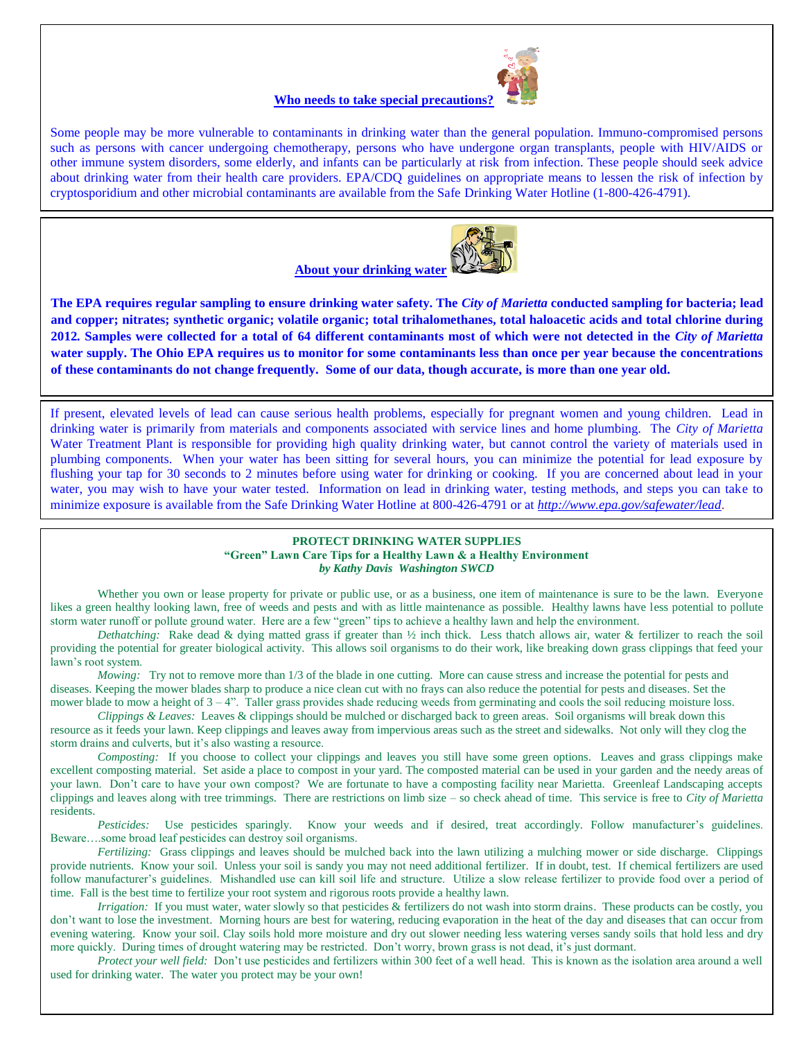

#### **Who needs to take special precautions?**

Some people may be more vulnerable to contaminants in drinking water than the general population. Immuno-compromised persons such as persons with cancer undergoing chemotherapy, persons who have undergone organ transplants, people with HIV/AIDS or other immune system disorders, some elderly, and infants can be particularly at risk from infection. These people should seek advice about drinking water from their health care providers. EPA/CDQ guidelines on appropriate means to lessen the risk of infection by cryptosporidium and other microbial contaminants are available from the Safe Drinking Water Hotline (1-800-426-4791).



**The EPA requires regular sampling to ensure drinking water safety. The** *City of Marietta* **conducted sampling for bacteria; lead and copper; nitrates; synthetic organic; volatile organic; total trihalomethanes, total haloacetic acids and total chlorine during 2012***.* **Samples were collected for a total of 64 different contaminants most of which were not detected in the** *City of Marietta*  **water supply. The Ohio EPA requires us to monitor for some contaminants less than once per year because the concentrations of these contaminants do not change frequently. Some of our data, though accurate, is more than one year old.**

If present, elevated levels of lead can cause serious health problems, especially for pregnant women and young children. Lead in drinking water is primarily from materials and components associated with service lines and home plumbing. The *City of Marietta* Water Treatment Plant is responsible for providing high quality drinking water, but cannot control the variety of materials used in plumbing components. When your water has been sitting for several hours, you can minimize the potential for lead exposure by flushing your tap for 30 seconds to 2 minutes before using water for drinking or cooking. If you are concerned about lead in your water, you may wish to have your water tested. Information on lead in drinking water, testing methods, and steps you can take to minimize exposure is available from the Safe Drinking Water Hotline at 800-426-4791 or at *<http://www.epa.gov/safewater/lead>*.

#### **PROTECT DRINKING WATER SUPPLIES "Green" Lawn Care Tips for a Healthy Lawn & a Healthy Environment** *by Kathy Davis Washington SWCD*

Whether you own or lease property for private or public use, or as a business, one item of maintenance is sure to be the lawn. Everyone likes a green healthy looking lawn, free of weeds and pests and with as little maintenance as possible. Healthy lawns have less potential to pollute storm water runoff or pollute ground water. Here are a few "green" tips to achieve a healthy lawn and help the environment.

*Dethatching:* Rake dead & dying matted grass if greater than ½ inch thick. Less thatch allows air, water & fertilizer to reach the soil providing the potential for greater biological activity. This allows soil organisms to do their work, like breaking down grass clippings that feed your lawn's root system.

*Mowing:* Try not to remove more than 1/3 of the blade in one cutting. More can cause stress and increase the potential for pests and diseases. Keeping the mower blades sharp to produce a nice clean cut with no frays can also reduce the potential for pests and diseases. Set the mower blade to mow a height of  $3 - 4$ ". Taller grass provides shade reducing weeds from germinating and cools the soil reducing moisture loss.

*Clippings & Leaves:* Leaves & clippings should be mulched or discharged back to green areas. Soil organisms will break down this resource as it feeds your lawn. Keep clippings and leaves away from impervious areas such as the street and sidewalks. Not only will they clog the storm drains and culverts, but it's also wasting a resource.

*Composting:* If you choose to collect your clippings and leaves you still have some green options. Leaves and grass clippings make excellent composting material. Set aside a place to compost in your yard. The composted material can be used in your garden and the needy areas of your lawn. Don't care to have your own compost? We are fortunate to have a composting facility near Marietta. Greenleaf Landscaping accepts clippings and leaves along with tree trimmings. There are restrictions on limb size – so check ahead of time. This service is free to *City of Marietta* residents.

*Pesticides:* Use pesticides sparingly. Know your weeds and if desired, treat accordingly. Follow manufacturer's guidelines. Beware….some broad leaf pesticides can destroy soil organisms.

*Fertilizing:* Grass clippings and leaves should be mulched back into the lawn utilizing a mulching mower or side discharge. Clippings provide nutrients. Know your soil. Unless your soil is sandy you may not need additional fertilizer. If in doubt, test. If chemical fertilizers are used follow manufacturer's guidelines. Mishandled use can kill soil life and structure. Utilize a slow release fertilizer to provide food over a period of time. Fall is the best time to fertilize your root system and rigorous roots provide a healthy lawn.

*Irrigation:* If you must water, water slowly so that pesticides & fertilizers do not wash into storm drains. These products can be costly, you don't want to lose the investment. Morning hours are best for watering, reducing evaporation in the heat of the day and diseases that can occur from evening watering. Know your soil. Clay soils hold more moisture and dry out slower needing less watering verses sandy soils that hold less and dry more quickly. During times of drought watering may be restricted. Don't worry, brown grass is not dead, it's just dormant.

*Protect your well field:* Don't use pesticides and fertilizers within 300 feet of a well head. This is known as the isolation area around a well used for drinking water. The water you protect may be your own!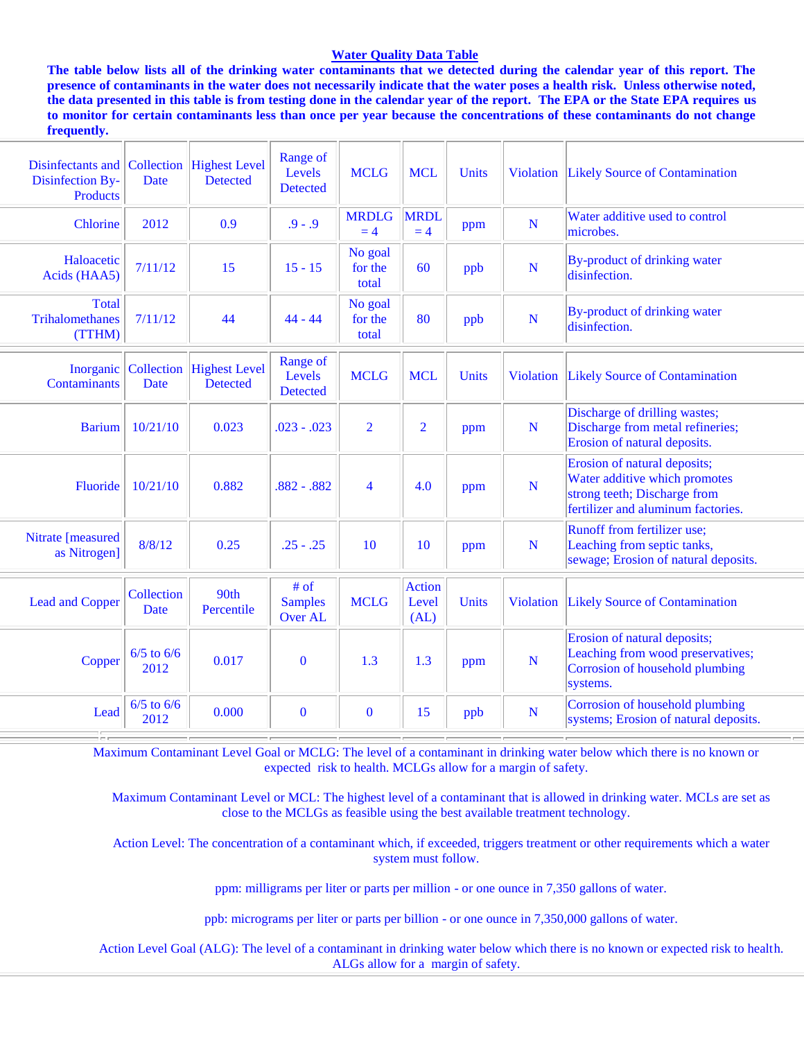#### **Water Quality Data Table**

**The table below lists all of the drinking water contaminants that we detected during the calendar year of this report. The presence of contaminants in the water does not necessarily indicate that the water poses a health risk. Unless otherwise noted, the data presented in this table is from testing done in the calendar year of the report. The EPA or the State EPA requires us to monitor for certain contaminants less than once per year because the concentrations of these contaminants do not change frequently.**

| Disinfectants and Collection Highest Level<br>Disinfection By-<br>Products | Date                         | <b>Detected</b>                         | Range of<br>Levels<br><b>Detected</b> | <b>MCLG</b>                 | <b>MCL</b>                     | <b>Units</b> | <b>Violation</b> | <b>Likely Source of Contamination</b>                                                                                               |
|----------------------------------------------------------------------------|------------------------------|-----------------------------------------|---------------------------------------|-----------------------------|--------------------------------|--------------|------------------|-------------------------------------------------------------------------------------------------------------------------------------|
| Chlorine                                                                   | 2012                         | 0.9                                     | $.9 - .9$                             | <b>MRDLG</b><br>$= 4$       | <b>MRDL</b><br>$= 4$           | ppm          | N                | Water additive used to control<br>microbes.                                                                                         |
| Haloacetic<br>Acids (HAA5)                                                 | 7/11/12                      | 15                                      | $15 - 15$                             | No goal<br>for the<br>total | 60                             | ppb          | N                | By-product of drinking water<br>disinfection.                                                                                       |
| <b>Total</b><br><b>Trihalomethanes</b><br>(TTHM)                           | 7/11/12                      | 44                                      | $44 - 44$                             | No goal<br>for the<br>total | 80                             | ppb          | N                | By-product of drinking water<br>disinfection.                                                                                       |
| <b>Contaminants</b>                                                        | Inorganic Collection<br>Date | <b>Highest Level</b><br><b>Detected</b> | Range of<br>Levels<br><b>Detected</b> | <b>MCLG</b>                 | <b>MCL</b>                     | Units        | <b>Violation</b> | Likely Source of Contamination                                                                                                      |
| <b>Barium</b>                                                              | 10/21/10                     | 0.023                                   | $.023-.023$                           | $\overline{2}$              | $\overline{2}$                 | ppm          | N                | Discharge of drilling wastes;<br>Discharge from metal refineries;<br>Erosion of natural deposits.                                   |
| Fluoride                                                                   | 10/21/10                     | 0.882                                   | $.882-.882$                           | $\overline{4}$              | 4.0                            | ppm          | N                | Erosion of natural deposits;<br>Water additive which promotes<br>strong teeth; Discharge from<br>fertilizer and aluminum factories. |
| Nitrate [measured<br>as Nitrogen]                                          | 8/8/12                       | 0.25                                    | $.25 - .25$                           | 10                          | 10                             | ppm          | N                | Runoff from fertilizer use;<br>Leaching from septic tanks,<br>sewage; Erosion of natural deposits.                                  |
| <b>Lead and Copper</b>                                                     | Collection<br>Date           | 90th<br>Percentile                      | # of<br><b>Samples</b><br>Over AL     | <b>MCLG</b>                 | <b>Action</b><br>Level<br>(AL) | Units        | <b>Violation</b> | <b>Likely Source of Contamination</b>                                                                                               |
| Copper                                                                     | $6/5$ to $6/6$<br>2012       | 0.017                                   | $\bf{0}$                              | 1.3                         | 1.3                            | ppm          | N                | Erosion of natural deposits;<br>Leaching from wood preservatives;<br>Corrosion of household plumbing<br>systems.                    |
| Lead                                                                       | $6/5$ to $6/6$<br>2012       | 0.000                                   | $\bf{0}$                              | $\bf{0}$                    | 15                             | ppb          | N                | Corrosion of household plumbing<br>systems; Erosion of natural deposits.                                                            |

Maximum Contaminant Level Goal or MCLG: The level of a contaminant in drinking water below which there is no known or expected risk to health. MCLGs allow for a margin of safety.

 Maximum Contaminant Level or MCL: The highest level of a contaminant that is allowed in drinking water. MCLs are set as close to the MCLGs as feasible using the best available treatment technology.

 Action Level: The concentration of a contaminant which, if exceeded, triggers treatment or other requirements which a water system must follow.

ppm: milligrams per liter or parts per million - or one ounce in 7,350 gallons of water.

ppb: micrograms per liter or parts per billion - or one ounce in 7,350,000 gallons of water.

 Action Level Goal (ALG): The level of a contaminant in drinking water below which there is no known or expected risk to health. ALGs allow for a margin of safety.